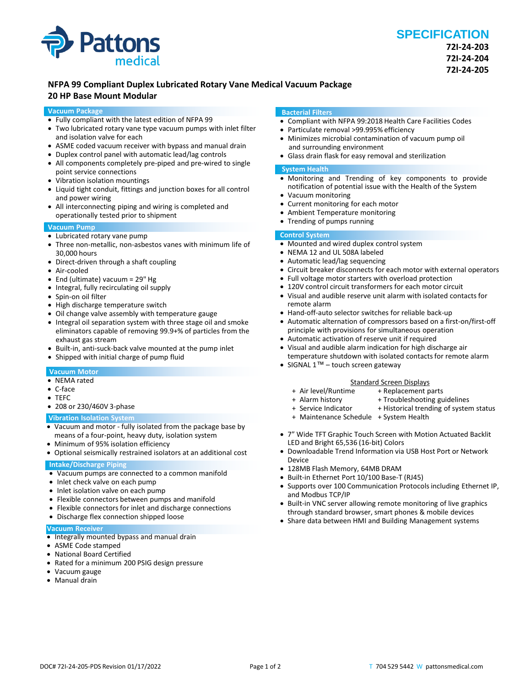

# **NFPA 99 Compliant Duplex Lubricated Rotary Vane Medical Vacuum Package**

# **20 HP Base Mount Modular**

# **Vacuum Package**

- Fully compliant with the latest edition of NFPA 99
- Two lubricated rotary vane type vacuum pumps with inlet filter and isolation valve for each
- ASME coded vacuum receiver with bypass and manual drain
- Duplex control panel with automatic lead/lag controls
- All components completely pre-piped and pre-wired to single point service connections
- Vibration isolation mountings
- Liquid tight conduit, fittings and junction boxes for all control and power wiring
- All interconnecting piping and wiring is completed and operationally tested prior to shipment

# **Vacuum Pump**

- Lubricated rotary vane pump
- Three non-metallic, non-asbestos vanes with minimum life of 30,000 hours
- Direct-driven through a shaft coupling
- Air-cooled
- End (ultimate) vacuum = 29" Hg
- Integral, fully recirculating oil supply
- Spin-on oil filter
- High discharge temperature switch
- Oil change valve assembly with temperature gauge
- Integral oil separation system with three stage oil and smoke eliminators capable of removing 99.9+% of particles from the exhaust gas stream
- Built-in, anti-suck-back valve mounted at the pump inlet
- Shipped with initial charge of pump fluid

# **Vacuum Motor**

- NEMA rated
- C-face
- TEFC
- 208 or 230/460V 3-phase

# **Vibration Isolation System**

- Vacuum and motor fully isolated from the package base by means of a four-point, heavy duty, isolation system
- Minimum of 95% isolation efficiency
- Optional seismically restrained isolators at an additional cost

# **Intake/Discharge Piping**

- Vacuum pumps are connected to a common manifold
- Inlet check valve on each pump
- Inlet isolation valve on each pump
- Flexible connectors between pumps and manifold
- Flexible connectors for inlet and discharge connections
- Discharge flex connection shipped loose

#### **Vacuum Receiver**

- Integrally mounted bypass and manual drain
- ASME Code stamped
- National Board Certified
- Rated for a minimum 200 PSIG design pressure
- Vacuum gauge
- Manual drain

#### **Bacterial Filters**

- Compliant with NFPA 99:2018 Health Care Facilities Codes
- Particulate removal >99.995% efficiency
- Minimizes microbial contamination of vacuum pump oil and surrounding environment
- Glass drain flask for easy removal and sterilization

# **System Health**

- Monitoring and Trending of key components to provide notification of potential issue with the Health of the System
- Vacuum monitoring
- Current monitoring for each motor
- Ambient Temperature monitoring
- Trending of pumps running

# **Control System**

- Mounted and wired duplex control system
- NEMA 12 and UL 508A labeled
- Automatic lead/lag sequencing
- Circuit breaker disconnects for each motor with external operators
- Full voltage motor starters with overload protection
- 120V control circuit transformers for each motor circuit
- Visual and audible reserve unit alarm with isolated contacts for remote alarm
- Hand-off-auto selector switches for reliable back-up
- Automatic alternation of compressors based on a first-on/first-off principle with provisions for simultaneous operation
- Automatic activation of reserve unit if required
- Visual and audible alarm indication for high discharge air temperature shutdown with isolated contacts for remote alarm
- SIGNAL 1™ touch screen gateway

- Standard Screen Displays<br>Air level/Runtime + Replacement p +
- 
- + Alarm history + Troubleshooting guidelines<br>+ Service Indicator + Historical trending of syster

+ Replacement parts

- + Historical trending of system status
- + Maintenance Schedule + System Health
- 7" Wide TFT Graphic Touch Screen with Motion Actuated Backlit LED and Bright 65,536 (16-bit) Colors
- Downloadable Trend Information via USB Host Port or Network Device
- 128MB Flash Memory, 64MB DRAM
- Built-in Ethernet Port 10/100 Base-T (RJ45)
- Supports over 100 Communication Protocols including Ethernet IP, and Modbus TCP/IP
- Built-in VNC server allowing remote monitoring of live graphics through standard browser, smart phones & mobile devices
- Share data between HMI and Building Management systems